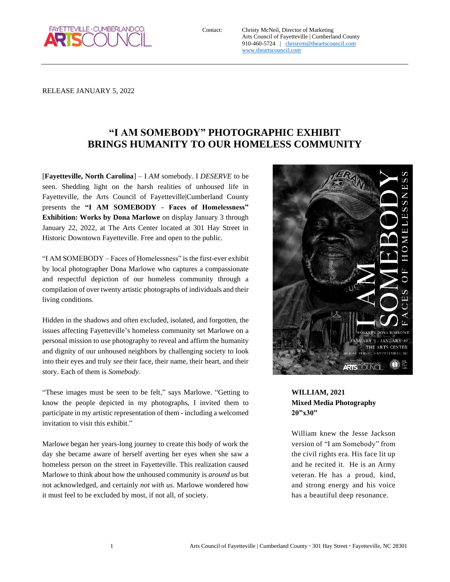

Contact: Christy McNeil, Director of Marketing Arts Council of Fayetteville | Cumberland County 910-460-5724 | [christym@theartscouncil.com](mailto:christym@theartscouncil.com) [www.theartscouncil.com](http://www.theartscouncil.com/)

RELEASE JANUARY 5, 2022

# **"I AM SOMEBODY" PHOTOGRAPHIC EXHIBIT BRINGS HUMANITY TO OUR HOMELESS COMMUNITY**

[**Fayetteville, North Carolina**] – I *AM* somebody. I *DESERVE* to be seen. Shedding light on the harsh realities of unhoused life in Fayetteville, the Arts Council of Fayetteville|Cumberland County presents the **"I AM SOMEBODY - Faces of Homelessness" Exhibition: Works by Dona Marlowe** on display January 3 through January 22, 2022, at The Arts Center located at 301 Hay Street in Historic Downtown Fayetteville. Free and open to the public.

"I AM SOMEBODY – Faces of Homelessness" is the first-ever exhibit by local photographer Dona Marlowe who captures a compassionate and respectful depiction of our homeless community through a compilation of over twenty artistic photographs of individuals and their living conditions.

Hidden in the shadows and often excluded, isolated, and forgotten, the issues affecting Fayetteville's homeless community set Marlowe on a personal mission to use photography to reveal and affirm the humanity and dignity of our unhoused neighbors by challenging society to look into their eyes and truly *see* their face, their name, their heart, and their story. Each of them is *Somebody*.

"These images must be seen to be felt," says Marlowe. "Getting to know the people depicted in my photographs, I invited them to participate in my artistic representation of them - including a welcomed invitation to visit this exhibit."

Marlowe began her years-long journey to create this body of work the day she became aware of herself averting her eyes when she saw a homeless person on the street in Fayetteville. This realization caused Marlowe to think about how the unhoused community is *around us* but not acknowledged, and certainly *not with us*. Marlowe wondered how it must feel to be excluded by most, if not all, of society.



## **WILLIAM, 2021 Mixed Media Photography 20"x30"**

William knew the Jesse Jackson version of "I am Somebody" from the civil rights era. His face lit up and he recited it. He is an Army veteran. He has a proud, kind, and strong energy and his voice has a beautiful deep resonance.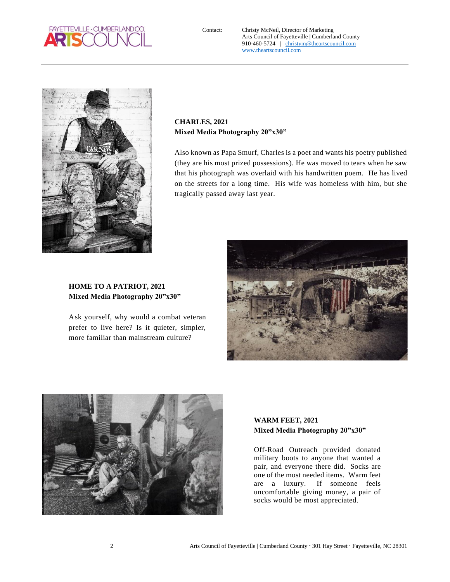

Contact: Christy McNeil, Director of Marketing Arts Council of Fayetteville | Cumberland County 910-460-5724 | [christym@theartscouncil.com](mailto:christym@theartscouncil.com) [www.theartscouncil.com](http://www.theartscouncil.com/)



**CHARLES, 2021 Mixed Media Photography 20"x30"**

Also known as Papa Smurf, Charles is a poet and wants his poetry published (they are his most prized possessions). He was moved to tears when he saw that his photograph was overlaid with his handwritten poem. He has lived on the streets for a long time. His wife was homeless with him, but she tragically passed away last year.

## **HOME TO A PATRIOT, 2021 Mixed Media Photography 20"x30"**

Ask yourself, why would a combat veteran prefer to live here? Is it quieter, simpler, more familiar than mainstream culture?





#### **WARM FEET, 2021 Mixed Media Photography 20"x30"**

Off-Road Outreach provided donated military boots to anyone that wanted a pair, and everyone there did. Socks are one of the most needed items. Warm feet are a luxury. If someone feels uncomfortable giving money, a pair of socks would be most appreciated.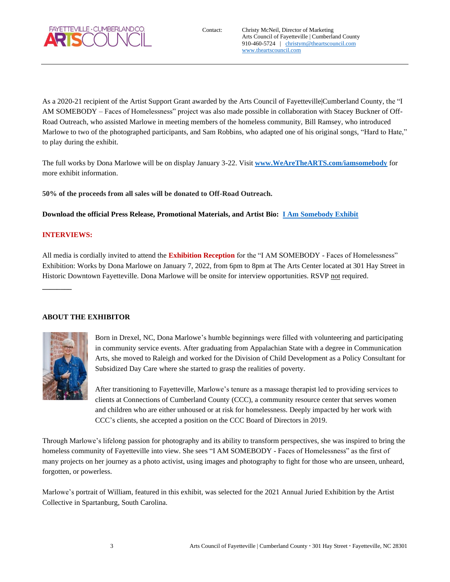

As a 2020-21 recipient of the Artist Support Grant awarded by the Arts Council of Fayetteville|Cumberland County, the "I AM SOMEBODY – Faces of Homelessness" project was also made possible in collaboration with Stacey Buckner of Off-Road Outreach, who assisted Marlowe in meeting members of the homeless community, Bill Ramsey, who introduced Marlowe to two of the photographed participants, and Sam Robbins, who adapted one of his original songs, "Hard to Hate," to play during the exhibit.

The full works by Dona Marlowe will be on display January 3-22. Visit **[www.WeAreTheARTS.com/iamsomebody](http://www.wearethearts.com/iamsomebody)** for more exhibit information.

**50% of the proceeds from all sales will be donated to Off-Road Outreach.**

**Download the official Press Release, Promotional Materials, and Artist Bio: [I Am Somebody Exhibit](https://drive.google.com/drive/folders/1BAul7EzCJ0z2W4QkAVQVDpP-Pm8GtNfI?usp=sharing)**

#### **INTERVIEWS:**

**\_\_\_\_\_\_\_\_**

All media is cordially invited to attend the **Exhibition Reception** for the "I AM SOMEBODY - Faces of Homelessness" Exhibition: Works by Dona Marlowe on January 7, 2022, from 6pm to 8pm at The Arts Center located at 301 Hay Street in Historic Downtown Fayetteville. Dona Marlowe will be onsite for interview opportunities. RSVP not required.

#### **ABOUT THE EXHIBITOR**



Born in Drexel, NC, Dona Marlowe's humble beginnings were filled with volunteering and participating in community service events. After graduating from Appalachian State with a degree in Communication Arts, she moved to Raleigh and worked for the Division of Child Development as a Policy Consultant for Subsidized Day Care where she started to grasp the realities of poverty.

After transitioning to Fayetteville, Marlowe's tenure as a massage therapist led to providing services to clients at Connections of Cumberland County (CCC), a community resource center that serves women and children who are either unhoused or at risk for homelessness. Deeply impacted by her work with CCC's clients, she accepted a position on the CCC Board of Directors in 2019.

Through Marlowe's lifelong passion for photography and its ability to transform perspectives, she was inspired to bring the homeless community of Fayetteville into view. She sees "I AM SOMEBODY - Faces of Homelessness" as the first of many projects on her journey as a photo activist, using images and photography to fight for those who are unseen, unheard, forgotten, or powerless.

Marlowe's portrait of William, featured in this exhibit, was selected for the 2021 Annual Juried Exhibition by the Artist Collective in Spartanburg, South Carolina.